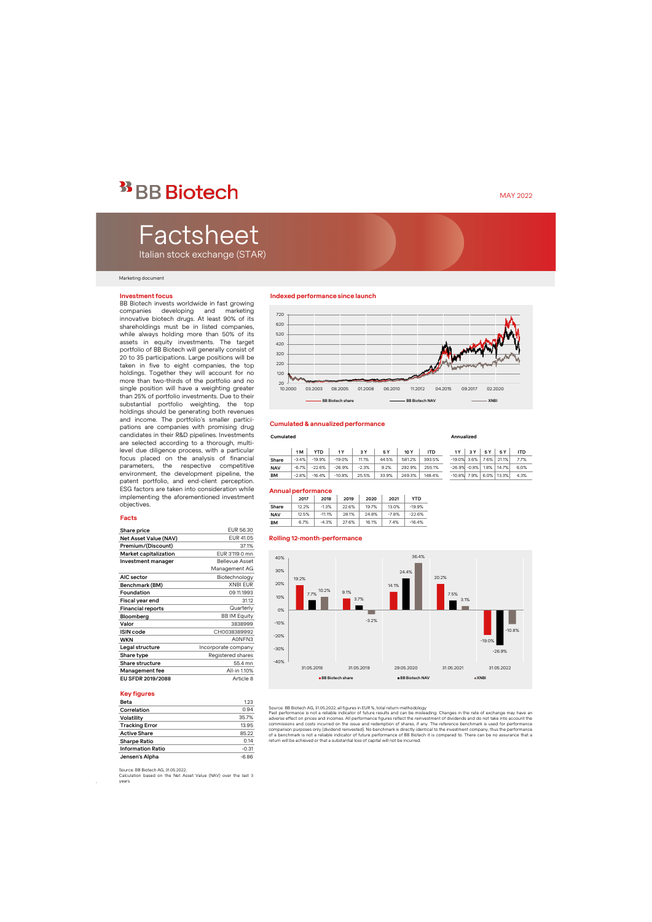## <sup>33</sup> BB Biotech

# Factsheet

Italian stock exchange (STAR)

#### Marketing document

#### **Investment focus**

BB Biotech invests worldwide in fast growing companies developing and marketing innovative biotech drugs. At least 90% of its shareholdings must be in listed companies, while always holding more than 50% of its assets in equity investments. The target portfolio of BB Biotech will generally consist of 20 to 35 participations. Large positions will be taken in five to eight companies, the top holdings. Together they will account for no more than two-thirds of the portfolio and no single position will have a weighting greater than 25% of portfolio investments. Due to their substantial portfolio weighting, the top holdings should be generating both revenues and income. The portfolio's smaller participations are companies with promising drug candidates in their R&D pipelines. Investments are selected according to a thorough, multilevel due diligence process, with a particular focus placed on the analysis of financial parameters, the respective competitive environment, the development pipeline, the patent portfolio, and end-client perception. ESG factors are taken into consideration while implementing the aforementioned investment objectives.

#### **Facts**

| Share price              | EUR 56.30             |
|--------------------------|-----------------------|
| Net Asset Value (NAV)    | EUR 41.05             |
| Premium/(Discount)       | 37.1%                 |
| Market capitalization    | EUR 3'119.0 mn        |
| Investment manager       | <b>Bellevue Asset</b> |
|                          | Management AG         |
| AIC sector               | Biotechnology         |
| Benchmark (BM)           | <b>XNBI EUR</b>       |
| Foundation               | 09.11.1993            |
| Fiscal year end          | 31.12                 |
| <b>Financial reports</b> | Quarterly             |
| Bloomberg                | <b>BB IM Equity</b>   |
| Valor                    | 3838999               |
| <b>ISIN</b> code         | CH0038389992          |
| <b>WKN</b>               | A0NFN3                |
| Legal structure          | Incorporate company   |
| Share type               | Registered shares     |
| Share structure          | 55.4 mn               |
| Management fee           | All-in 1.10%          |
| EU SFDR 2019/2088        | Article 8             |

#### **Key figures**

.

| Beta                     | 1.23    |
|--------------------------|---------|
| Correlation              | 0.94    |
| Volatility               | 35.7%   |
| <b>Tracking Error</b>    | 13.95   |
| <b>Active Share</b>      | 85.22   |
| <b>Sharpe Ratio</b>      | 0.14    |
| <b>Information Ratio</b> | $-0.31$ |
| Jensen's Alpha           | $-6.86$ |

#### **Indexed performance since launch**



#### **Cumulated & annualized performance**

#### **Cumulated Annualized**

|            | 1 M     | YTD      |          | 3 Y     | 5 Y   | 10 Y   | <b>ITD</b> |                  | 3 Y | 5 Y     | 5 Y        | ITD  |
|------------|---------|----------|----------|---------|-------|--------|------------|------------------|-----|---------|------------|------|
| Share      | $-3.4%$ | $-19.9%$ | $-19.0%$ | 11.1%   | 44.5% | 581.2% | 393.5%     | $-19.0\%$ 3.6%   |     | $7.6\%$ | 21.1%      | 7.7% |
| <b>NAV</b> | $-6.7%$ | $-22.6%$ | $-26.9%$ | $-2.3%$ | 9.2%  | 292.9% | 255.1%     | $-26.9\% -0.8\%$ |     | $1.8\%$ | 14.7%      | 6.0% |
| BM         | $-2.8%$ | $-16.4%$ | $-10.8%$ | 25.5%   | 33.9% | 249.3% | 148.4%     | $-10.8\%$ 7.9%   |     |         | 6.0% 13.3% | 4.3% |

#### **Annual performance**

|            | 2017  | 2018     | 2019  | 2020  | 2021    | YTD      |
|------------|-------|----------|-------|-------|---------|----------|
| Share      | 12.2% | $-1.3%$  | 22.6% | 19.7% | 13.0%   | $-19.9%$ |
| <b>NAV</b> | 12.5% | $-11.1%$ | 28.1% | 24.8% | $-7.8%$ | $-22.6%$ |
| BМ         | 6.7%  | $-4.3%$  | 27.6% | 16.1% | 7.4%    | $-16.4%$ |

#### **Rolling 12-month-performance**



Source: BB Biotech AG, 31.05.2022; all figures in EUR %, total return-methodology

Past performance is not a reliable indicator of future results and can be misleading. Changes in the rate of exchange may have an<br>adverse effect on prices and incomes. All performance figures reflect the reinvestment of di commissions and costs incurred on the issue and redemption of shares, if any. The reference benchmark is used for performance<br>comparison purposes only (dividend reinvested). No benchmark is directly identical to the invest of a benchmark is not a reliable indicator of future performance of BB Biotech it is compared to. There can be no assurance that a return will be achieved or that a substantial loss of capital will not be incurred.

Calculation based on the Net Asset Value (NAV) over the last 3 years.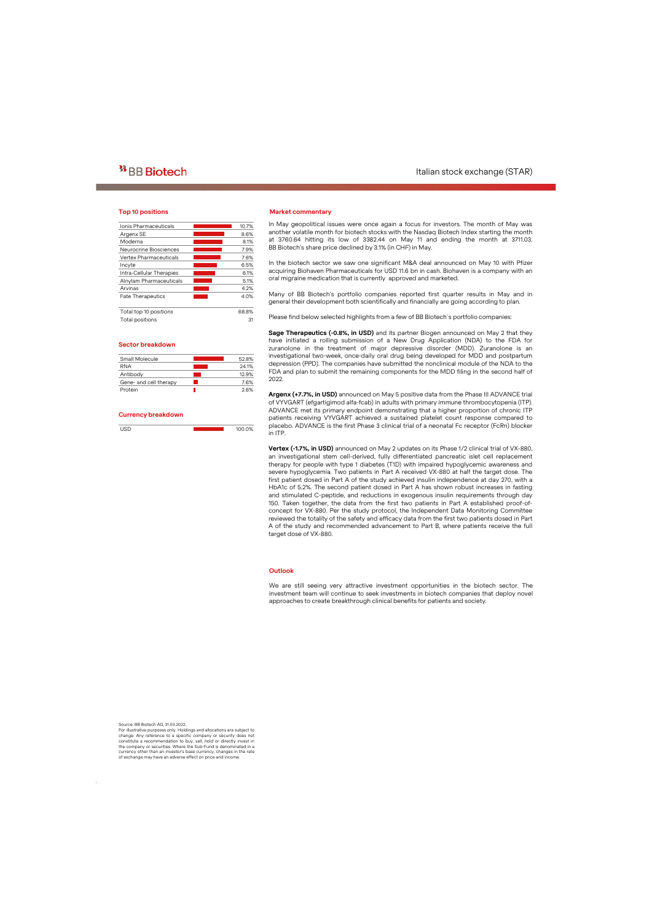### **Top 10 positions**

| Ionis Pharmaceuticals    | 10.7% |
|--------------------------|-------|
| Argenx SE                | 8.6%  |
| Moderna                  | 8.1%  |
| Neurocrine Biosciences   | 7.9%  |
| Vertex Pharmaceuticals   | 7.6%  |
| Incyte                   | 6.5%  |
| Intra-Cellular Therapies | 6.1%  |
| Alnylam Pharmaceuticals  | 5.1%  |
| Arvinas                  | 4.2%  |
| <b>Fate Therapeutics</b> | 4.0%  |
| Total top 10 positions   | 68.8% |
| Total positions          | 31    |

#### **Sector breakdown**

| Small Molecule         | 52.8% |
|------------------------|-------|
| <b>RNA</b>             | 24.1% |
| Antibody               | 12.9% |
| Gene- and cell therapy | 76%   |
| Protein                | 26%   |
|                        |       |

#### **Currency breakdown**

| 110D<br>$\sim$ | 100.0% |
|----------------|--------|
|                |        |

#### **Market commentary**

In May geopolitical issues were once again a focus for investors. The month of May was another volatile month for biotech stocks with the Nasdaq Biotech Index starting the month at 3760.64 hitting its low of 3382.44 on May 11 and ending the month at 3711.03. BB Biotech's share price declined by 3.1% (in CHF) in May.

In the biotech sector we saw one significant M&A deal announced on May 10 with Pfizer acquiring Biohaven Pharmaceuticals for USD 11.6 bn in cash. Biohaven is a company with an oral migraine medication that is currently approved and marketed.

Many of BB Biotech's portfolio companies reported first quarter results in May and in general their development both scientifically and financially are going according to plan.

Please find below selected highlights from a few of BB Biotech´s portfolio companies:

**Sage Therapeutics (-0.8%, in USD)** and its partner Biogen announced on May 2 that they have initiated a rolling submission of a New Drug Application (NDA) to the FDA for zuranolone in the treatment of major depressive disorder (MDD). Zuranolone is an investigational two-week, once-daily oral drug being developed for MDD and postpartum depression (PPD). The companies have submitted the nonclinical module of the NDA to the FDA and plan to submit the remaining components for the MDD filing in the second half of 2022.

**Argenx (+7.7%, in USD)** announced on May 5 positive data from the Phase III ADVANCE trial of VYVGART (efgartigimod alfa-fcab) in adults with primary immune thrombocytopenia (ITP). ADVANCE met its primary endpoint demonstrating that a higher proportion of chronic ITP patients receiving VYVGART achieved a sustained platelet count response compared to placebo. ADVANCE is the first Phase 3 clinical trial of a neonatal Fc receptor (FcRn) blocker in ITP.

**Vertex (-1.7%, in USD)** announced on May 2 updates on its Phase 1/2 clinical trial of VX-880, an investigational stem cell-derived, fully differentiated pancreatic islet cell replacement therapy for people with type 1 diabetes (T1D) with impaired hypoglycemic awareness and severe hypoglycemia. Two patients in Part A received VX-880 at half the target dose. The first patient dosed in Part A of the study achieved insulin independence at day 270, with a HbA1c of 5.2%. The second patient dosed in Part A has shown robust increases in fasting and stimulated C-peptide, and reductions in exogenous insulin requirements through day 150. Taken together, the data from the first two patients in Part A established proof-ofconcept for VX-880. Per the study protocol, the Independent Data Monitoring Committee reviewed the totality of the safety and efficacy data from the first two patients dosed in Part A of the study and recommended advancement to Part B, where patients receive the full target dose of VX-880.

#### **Outlook**

We are still seeing very attractive investment opportunities in the biotech sector. The investment team will continue to seek investments in biotech companies that deploy novel approaches to create breakthrough clinical benefits for patients and society.

Source: BB Biotech AG, 31.03.2022;

.

For illustrative purposes only. Holdings and allocations are subject to change. Any reference to a specific company or security does not constitute a recommendation to buy, sell, hold or directly invest in the company or securities. Where the Sub-Fund is denominated in a currency other than an investor's base currency, changes in the rate of exchange may have an adverse effect on price and income.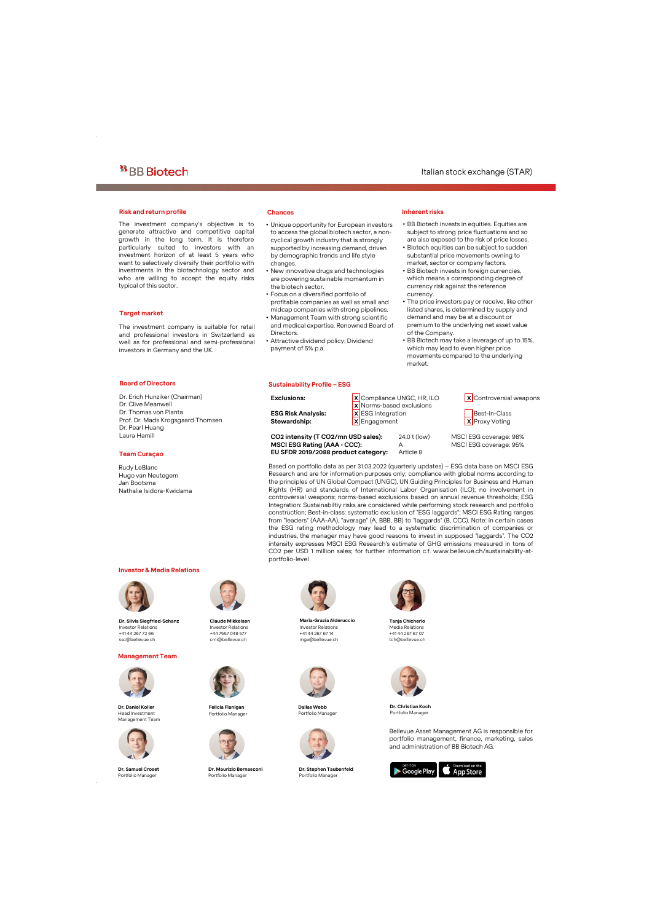#### **Risk and return profile Chances**

The investment company's objective is to generate attractive and competitive capital growth in the long term. It is therefore particularly suited to investors with an investment horizon of at least 5 years who want to selectively diversify their portfolio with investments in the biotechnology sector and who are willing to accept the equity risks typical of this sector.

#### **Target market**

The investment company is suitable for retail and professional investors in Switzerland as well as for professional and semi-professional investors in Germany and the UK.

- Unique opportunity for European investors to access the global biotech sector, a noncyclical growth industry that is strongly supported by increasing demand, driven by demographic trends and life style changes.
- New innovative drugs and technologies are powering sustainable momentum in the biotech sector.
- Focus on a diversified portfolio of profitable companies as well as small and midcap companies with strong pipelines.
- Management Team with strong scientific and medical expertise. Renowned Board of **Directors**
- Attractive dividend policy; Dividend payment of 5% p.a.

#### **Sustainability Profile – ESG**

## **Inherent risks**

- BB Biotech invests in equities. Equities are subject to strong price fluctuations and so are also exposed to the risk of price losses.
- Biotech equities can be subject to sudden substantial price movements owning to market, sector or company factors.
- BB Biotech invests in foreign currencies, which means a corresponding degree of currency risk against the reference currency.
- The price investors pay or receive, like other listed shares, is determined by supply and demand and may be at a discount or premium to the underlying net asset value of the Company.
- BB Biotech may take a leverage of up to 15%, which may lead to even higher price movements compared to the underlying market.

### **Board of Directors**

Dr. Erich Hunziker (Chairman) Dr. Clive Meanwell Dr. Thomas von Planta Prof. Dr. Mads Krogsgaard Thomsen Dr. Pearl Huang Laura Hamill

#### **Team Curaçao**

Rudy LeBlanc Hugo van Neutegem Jan Bootsma Nathalie Isidora-Kwidama

#### **Investor & Media Relations**



**Dr. Silvia Siegfried-Schanz** Investor Relations +41 44 267 72 66 ssc@bellevue.ch

#### **Management Team**



**Dr. Daniel Koller** Head Investment Management Team



**Dr. Samuel Croset** Portfolio Manager

.



**Claude Mikkelsen** Investor Relations +44 7557 048 577 cmi@bellevue.ch



**Felicia Flanigan** Portfolio Manager



**Dr. Maurizio Bernasconi** Portfolio Manager



**Maria-Grazia Alderuccio** Investor Relations +41 44 267 67 14 mga@bellevue.ch



**Dallas Webb** Portfolio Manager



**Dr. Stephen Taubenfeld** Portfolio Manager



**Tanja Chicherio** Media Relations +41 44 267 67 07 tch@bellevue.ch



**Dr. ChristianKoch** Portfolio Manager

Bellevue Asset Management AG is responsible for portfolio management, finance, marketing, sales and administration of BB Biotech AG.



**EU SFDR 2019/2088 product category:** Article 8

**Exclusions:** X Compliance UNGC, HR, ILO X Controversial weapons X Norms-based exclusions **ESG Risk Analysis:** X ESG Integration Best-in-Class

**Stewardship:** X Engagement X X Proxy Voting

**CO2 intensity (T CO2/mn USD sales):** 24.0 t (low) MSCI ESG coverage: 98% **MSCI ESG Rating (AAA - CCC):** A MSCI ESG coverage: 95%

Based on portfolio data as per 31.03.2022 (quarterly updates) – ESG data base on MSCI ESG Research and are for information purposes only; compliance with global norms according to the principles of UN Global Compact (UNGC), UN Guiding Principles for Business and Human Rights (HR) and standards of International Labor Organisation (ILO); no involvement in controversial weapons; norms-based exclusions based on annual revenue thresholds; ESG Integration: Sustainabiltiy risks are considered while performing stock research and portfolio construction; Best-in-class: systematic exclusion of "ESG laggards"; MSCI ESG Rating ranges from "leaders" (AAA-AA), "average" (A, BBB, BB) to "laggards" (B, CCC). Note: in certain cases the ESG rating methodology may lead to a systematic discrimination of companies or industries, the manager may have good reasons to invest in supposed "laggards". The CO2 intensity expresses MSCI ESG Research's estimate of GHG emissions measured in tons of CO2 per USD 1 million sales; for further information c.f. www.bellevue.ch/sustainability-atportfolio-level